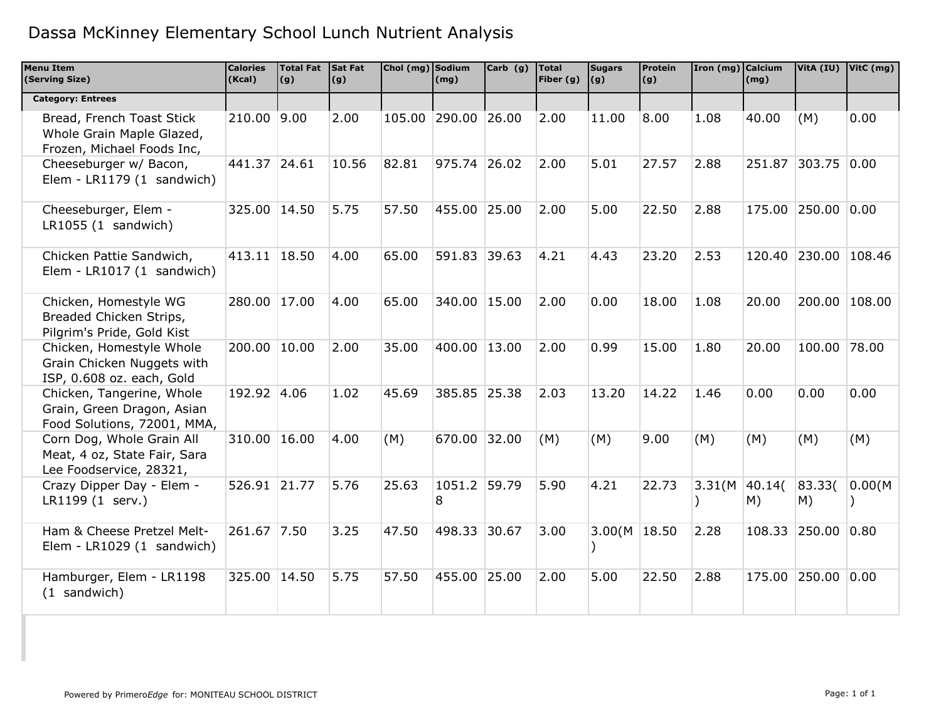| <b>Menu Item</b><br>(Serving Size)                                                     | <b>Calories</b><br>(Kcal) | Total Fat Sat Fat<br>(g) | (g)   | Chol (mg) Sodium | (mg)                | Carb $(g)$ | <b>Total</b><br>Fiber (g) $ (g) $ | <b>Sugars</b>   | Protein<br>(g) | Iron (mg) Calcium | (mg)         |                      | VitA (IU) VitC (mg) |
|----------------------------------------------------------------------------------------|---------------------------|--------------------------|-------|------------------|---------------------|------------|-----------------------------------|-----------------|----------------|-------------------|--------------|----------------------|---------------------|
| <b>Category: Entrees</b>                                                               |                           |                          |       |                  |                     |            |                                   |                 |                |                   |              |                      |                     |
| Bread, French Toast Stick<br>Whole Grain Maple Glazed,<br>Frozen, Michael Foods Inc,   | 210.00 9.00               |                          | 2.00  |                  | 105.00 290.00 26.00 |            | 2.00                              | 11.00           | 8.00           | 1.08              | 40.00        | (M)                  | 0.00                |
| Cheeseburger w/ Bacon,<br>Elem - LR1179 (1 sandwich)                                   | 441.37 24.61              |                          | 10.56 | 82.81            | 975.74 26.02        |            | 2.00                              | 5.01            | 27.57          | 2.88              | 251.87       | 303.75 0.00          |                     |
| Cheeseburger, Elem -<br>LR1055(1 sandwich)                                             | 325.00 14.50              |                          | 5.75  | 57.50            | 455.00 25.00        |            | 2.00                              | 5.00            | 22.50          | 2.88              |              | 175.00 250.00 0.00   |                     |
| Chicken Pattie Sandwich,<br>Elem - LR1017 (1 sandwich)                                 | 413.11 18.50              |                          | 4.00  | 65.00            | 591.83 39.63        |            | 4.21                              | 4.43            | 23.20          | 2.53              |              | 120.40 230.00 108.46 |                     |
| Chicken, Homestyle WG<br>Breaded Chicken Strips,<br>Pilgrim's Pride, Gold Kist         | 280.00 17.00              |                          | 4.00  | 65.00            | 340.00 15.00        |            | 2.00                              | 0.00            | 18.00          | 1.08              | 20.00        |                      | 200.00 108.00       |
| Chicken, Homestyle Whole<br>Grain Chicken Nuggets with<br>ISP, 0.608 oz. each, Gold    | 200.00 10.00              |                          | 2.00  | 35.00            | 400.00 13.00        |            | 2.00                              | 0.99            | 15.00          | 1.80              | 20.00        | 100.00 78.00         |                     |
| Chicken, Tangerine, Whole<br>Grain, Green Dragon, Asian<br>Food Solutions, 72001, MMA, | 192.92 4.06               |                          | 1.02  | 45.69            | 385.85 25.38        |            | 2.03                              | 13.20           | 14.22          | 1.46              | 0.00         | 0.00                 | 0.00                |
| Corn Dog, Whole Grain All<br>Meat, 4 oz, State Fair, Sara<br>Lee Foodservice, 28321,   | 310.00 16.00              |                          | 4.00  | (M)              | 670.00 32.00        |            | (M)                               | (M)             | 9.00           | (M)               | (M)          | (M)                  | (M)                 |
| Crazy Dipper Day - Elem -<br>LR1199 (1 serv.)                                          | 526.91 21.77              |                          | 5.76  | 25.63            | 1051.2 59.79<br>8   |            | 5.90                              | 4.21            | 22.73          | 3.31(M)           | 40.14(<br>M) | 83.33(<br>M)         | 0.00(M)             |
| Ham & Cheese Pretzel Melt-<br>Elem - LR1029 (1 sandwich)                               | 261.67 7.50               |                          | 3.25  | 47.50            | 498.33 30.67        |            | 3.00                              | 3.00(M   18.50) |                | 2.28              |              | 108.33 250.00 0.80   |                     |
| Hamburger, Elem - LR1198<br>(1 sandwich)                                               | 325.00 14.50              |                          | 5.75  | 57.50            | 455.00 25.00        |            | 2.00                              | 5.00            | 22.50          | 2.88              |              | 175.00 250.00 0.00   |                     |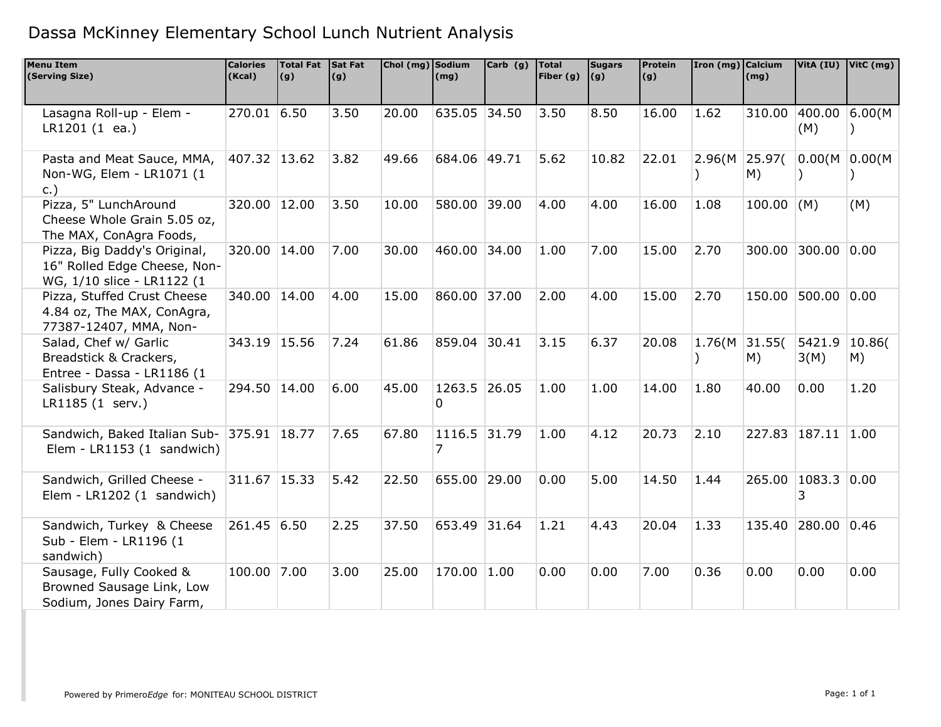| <b>Menu Item</b><br>(Serving Size)                                                                                                                    | <b>Calories</b><br>(Kcal)  | Total Fat Sat Fat<br>(g) | (g)          | Chol (mg) Sodium | (mg)                        | $Carb$ (g) | <b>Total</b><br>Fiber (g) | <b>Sugars</b><br>(g) | Protein<br>(g) | Iron (mg) Calcium    | (mg)         |                       | VitA (IU) VitC (mg) |
|-------------------------------------------------------------------------------------------------------------------------------------------------------|----------------------------|--------------------------|--------------|------------------|-----------------------------|------------|---------------------------|----------------------|----------------|----------------------|--------------|-----------------------|---------------------|
|                                                                                                                                                       |                            |                          |              |                  |                             |            |                           |                      |                |                      |              |                       |                     |
| Lasagna Roll-up - Elem -                                                                                                                              | 270.01 6.50                |                          | 3.50         | 20.00            | 635.05 34.50                |            | 3.50                      | 8.50                 | 16.00          | 1.62                 |              | 310.00 400.00 6.00(M  |                     |
| LR1201(1 ea.)                                                                                                                                         |                            |                          |              |                  |                             |            |                           |                      |                |                      |              | (M)                   |                     |
| Pasta and Meat Sauce, MMA,                                                                                                                            | 407.32 13.62               |                          | 3.82         | 49.66            | 684.06 49.71                |            | 5.62                      | 10.82                | 22.01          | 2.96(M 25.97(        |              | 0.00(M)               | 0.00(M)             |
| Non-WG, Elem - LR1071 (1                                                                                                                              |                            |                          |              |                  |                             |            |                           |                      |                |                      | M)           |                       |                     |
| c.)                                                                                                                                                   |                            |                          |              |                  |                             |            |                           |                      |                |                      |              |                       |                     |
| Pizza, 5" LunchAround                                                                                                                                 | 320.00 12.00               |                          | 3.50         | 10.00            | 580.00 39.00                |            | 4.00                      | 4.00                 | 16.00          | 1.08                 | $100.00$ (M) |                       | (M)                 |
| Cheese Whole Grain 5.05 oz,                                                                                                                           |                            |                          |              |                  |                             |            |                           |                      |                |                      |              |                       |                     |
| The MAX, ConAgra Foods,                                                                                                                               |                            |                          |              |                  |                             |            |                           |                      |                |                      |              |                       |                     |
| Pizza, Big Daddy's Original,                                                                                                                          | 320.00 14.00               |                          | 7.00         | 30.00            | 460.00 34.00                |            | 1.00                      | 7.00                 | 15.00          | 2.70                 |              | 300.00 300.00         | 0.00                |
| 16" Rolled Edge Cheese, Non-                                                                                                                          |                            |                          |              |                  |                             |            |                           |                      |                |                      |              |                       |                     |
| WG, 1/10 slice - LR1122 (1                                                                                                                            |                            |                          |              |                  |                             |            |                           |                      |                |                      |              |                       |                     |
| Pizza, Stuffed Crust Cheese                                                                                                                           | 340.00 14.00               |                          | 4.00         | 15.00            | 860.00 37.00                |            | 2.00                      | 4.00                 | 15.00          | 2.70                 | 150.00       | 500.00                | 0.00                |
| 4.84 oz, The MAX, ConAgra,                                                                                                                            |                            |                          |              |                  |                             |            |                           |                      |                |                      |              |                       |                     |
| 77387-12407, MMA, Non-                                                                                                                                |                            |                          |              |                  |                             |            |                           |                      |                |                      |              |                       |                     |
| Salad, Chef w/ Garlic                                                                                                                                 | 343.19 15.56               |                          | 7.24         | 61.86            | 859.04 30.41                |            | 3.15                      | 6.37                 | 20.08          | $1.76(M \mid 31.55($ |              | 5421.9                | 10.86(              |
| Breadstick & Crackers,                                                                                                                                |                            |                          |              |                  |                             |            |                           |                      |                |                      | M)           | 3(M)                  | M)                  |
| Entree - Dassa - LR1186 (1                                                                                                                            |                            |                          |              |                  |                             |            |                           |                      |                |                      |              |                       |                     |
| Salisbury Steak, Advance -                                                                                                                            | 294.50 14.00               |                          | 6.00         | 45.00            | 1263.5 26.05                |            | 1.00                      | 1.00                 | 14.00          | 1.80                 | 40.00        | 0.00                  | 1.20                |
| LR1185 (1 serv.)                                                                                                                                      |                            |                          |              |                  | $\Omega$                    |            |                           |                      |                |                      |              |                       |                     |
|                                                                                                                                                       |                            |                          |              |                  |                             |            |                           |                      |                |                      |              |                       |                     |
| Sandwich, Baked Italian Sub- 375.91 18.77                                                                                                             |                            |                          | 7.65         | 67.80            | 1116.5 31.79                |            | 1.00                      | 4.12                 | 20.73          | $ 2.10\rangle$       |              | 227.83 187.11 1.00    |                     |
| Elem - LR1153 (1 sandwich)                                                                                                                            |                            |                          |              |                  | 7                           |            |                           |                      |                |                      |              |                       |                     |
|                                                                                                                                                       | 311.67 15.33               |                          | 5.42         | 22.50            | 655.00 29.00                |            | 0.00                      | 5.00                 | 14.50          | 1.44                 |              | 265.00 1083.3 0.00    |                     |
| Sandwich, Grilled Cheese -<br>Elem - LR1202 (1 sandwich)                                                                                              |                            |                          |              |                  |                             |            |                           |                      |                |                      |              | 3                     |                     |
|                                                                                                                                                       |                            |                          |              |                  |                             |            |                           |                      |                |                      |              |                       |                     |
|                                                                                                                                                       |                            |                          |              |                  |                             |            |                           |                      |                |                      |              |                       |                     |
|                                                                                                                                                       |                            |                          |              |                  |                             |            |                           |                      |                |                      |              |                       |                     |
|                                                                                                                                                       |                            |                          |              |                  |                             |            |                           |                      |                |                      |              |                       |                     |
|                                                                                                                                                       |                            |                          |              |                  |                             |            |                           |                      |                |                      |              |                       |                     |
|                                                                                                                                                       |                            |                          |              |                  |                             |            |                           |                      |                |                      |              |                       |                     |
|                                                                                                                                                       |                            |                          |              |                  |                             |            |                           |                      |                |                      |              |                       |                     |
| Sandwich, Turkey & Cheese<br>Sub - Elem - LR1196 (1<br>sandwich)<br>Sausage, Fully Cooked &<br>Browned Sausage Link, Low<br>Sodium, Jones Dairy Farm, | 261.45 6.50<br>100.00 7.00 |                          | 2.25<br>3.00 | 37.50<br>25.00   | 653.49 31.64<br>170.00 1.00 |            | 1.21<br>0.00              | 4.43<br>0.00         | 20.04<br>7.00  | 1.33<br>0.36         | 0.00         | 135.40 280.00<br>0.00 | 0.46 <br>0.00       |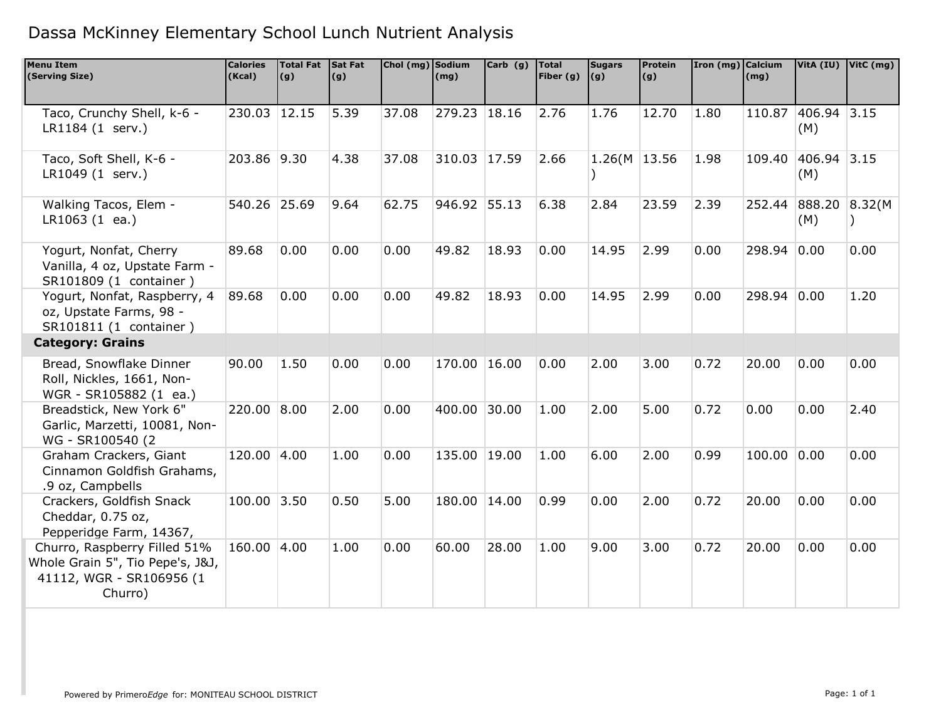| <b>Menu Item</b><br>(Serving Size)                                                                      | <b>Calories</b><br>(Kcal) | <b>Total Fat</b><br>(g) | Sat Fat<br>(g) | Chol (mg) Sodium | (mg)         | $Carb$ (g) | Total<br>Fiber $(g)$ | <b>Sugars</b><br>$\vert (g) \vert$ | Protein<br>(g) | Iron (mg) Calcium | (mg)   |                             | VitA (IU) VitC (mg) |
|---------------------------------------------------------------------------------------------------------|---------------------------|-------------------------|----------------|------------------|--------------|------------|----------------------|------------------------------------|----------------|-------------------|--------|-----------------------------|---------------------|
|                                                                                                         |                           |                         |                |                  |              |            |                      |                                    |                |                   |        |                             |                     |
| Taco, Crunchy Shell, k-6 -<br>LR1184 (1 serv.)                                                          | $\overline{230.03}$ 12.15 |                         | 5.39           | 37.08            | 279.23 18.16 |            | 2.76                 | 1.76                               | 12.70          | 1.80              |        | 110.87 406.94 3.15<br>(M)   |                     |
| Taco, Soft Shell, K-6 -<br>LR1049 (1 serv.)                                                             | 203.86 9.30               |                         | 4.38           | 37.08            | 310.03 17.59 |            | 2.66                 | 1.26(M   13.56)                    |                | 1.98              |        | 109.40 406.94 3.15<br>(M)   |                     |
| Walking Tacos, Elem -<br>$LR1063(1 \text{ ea.})$                                                        | 540.26 25.69              |                         | 9.64           | 62.75            | 946.92 55.13 |            | 6.38                 | 2.84                               | 23.59          | 2.39              |        | 252.44 888.20 8.32(M<br>(M) |                     |
| Yogurt, Nonfat, Cherry<br>Vanilla, 4 oz, Upstate Farm -<br>SR101809 (1 container )                      | 89.68                     | 0.00                    | 0.00           | 0.00             | 49.82        | 18.93      | 0.00                 | 14.95                              | 2.99           | 0.00              | 298.94 | 0.00                        | 0.00                |
| Yogurt, Nonfat, Raspberry, 4<br>oz, Upstate Farms, 98 -<br>SR101811 (1 container )                      | 89.68                     | 0.00                    | 0.00           | 0.00             | 49.82        | 18.93      | 0.00                 | 14.95                              | 2.99           | 0.00              | 298.94 | 0.00                        | 1.20                |
| <b>Category: Grains</b>                                                                                 |                           |                         |                |                  |              |            |                      |                                    |                |                   |        |                             |                     |
| Bread, Snowflake Dinner<br>Roll, Nickles, 1661, Non-<br>WGR - SR105882 (1 ea.)                          | 90.00                     | 1.50                    | 0.00           | 0.00             | 170.00       | 16.00      | 0.00                 | 2.00                               | 3.00           | 0.72              | 20.00  | 0.00                        | 0.00                |
| Breadstick, New York 6"<br>Garlic, Marzetti, 10081, Non-<br>WG - SR100540 (2)                           | 220.00 8.00               |                         | 2.00           | 0.00             | 400.00 30.00 |            | 1.00                 | 2.00                               | 5.00           | 0.72              | 0.00   | 0.00                        | 2.40                |
| Graham Crackers, Giant<br>Cinnamon Goldfish Grahams,<br>.9 oz, Campbells                                | 120.00 4.00               |                         | 1.00           | 0.00             | 135.00 19.00 |            | 1.00                 | 6.00                               | 2.00           | 0.99              | 100.00 | 0.00                        | 0.00                |
| Crackers, Goldfish Snack<br>Cheddar, 0.75 oz,<br>Pepperidge Farm, 14367,                                | 100.00 3.50               |                         | 0.50           | 5.00             | 180.00 14.00 |            | 0.99                 | 0.00                               | 2.00           | 0.72              | 20.00  | 0.00                        | 0.00                |
| Churro, Raspberry Filled 51%<br>Whole Grain 5", Tio Pepe's, J&J,<br>41112, WGR - SR106956 (1<br>Churro) | 160.00 4.00               |                         | 1.00           | 0.00             | 60.00        | 28.00      | 1.00                 | 9.00                               | 3.00           | 0.72              | 20.00  | 0.00                        | 0.00                |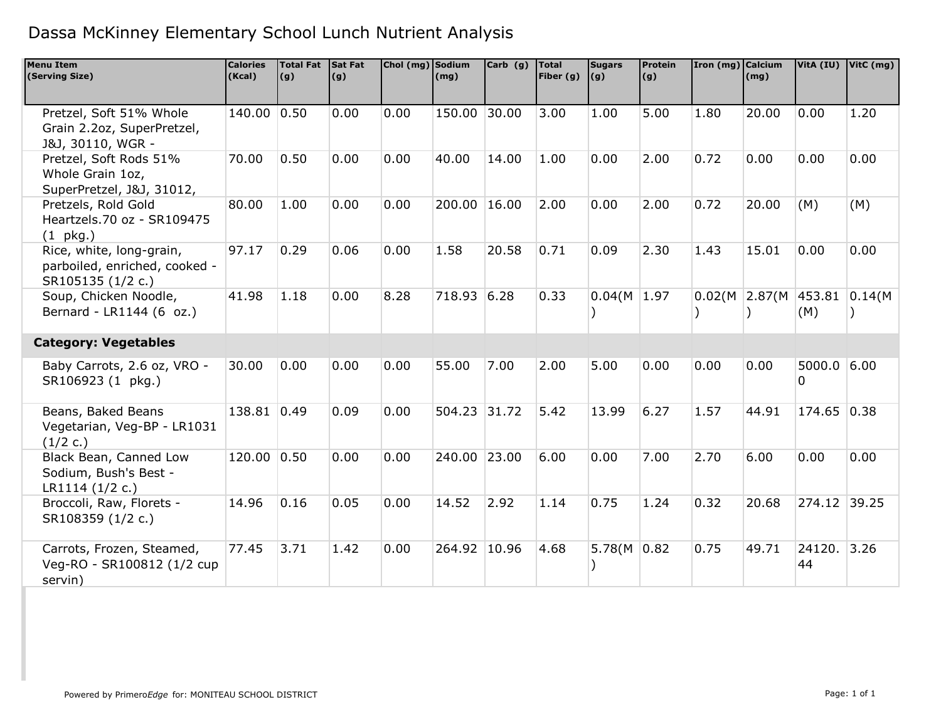| <b>Menu Item</b><br>(Serving Size)                                             | <b>Calories</b><br>(Kcal) | <b>Total Fat</b><br>(g) | Sat Fat<br>(g) | Chol (mg) Sodium | (mq)         | $Carb$ (q) | Total<br>Fiber $(g)$ | <b>Sugars</b><br> (g) | Protein<br>(g) | Iron (mg) Calcium | (mq)             |                      | VitA (IU) VitC (mg) |
|--------------------------------------------------------------------------------|---------------------------|-------------------------|----------------|------------------|--------------|------------|----------------------|-----------------------|----------------|-------------------|------------------|----------------------|---------------------|
| Pretzel, Soft 51% Whole<br>Grain 2.2oz, SuperPretzel,<br>J&J, 30110, WGR -     | 140.00 0.50               |                         | 0.00           | 0.00             | 150.00 30.00 |            | 3.00                 | 1.00                  | 5.00           | 1.80              | 20.00            | 0.00                 | 1.20                |
| Pretzel, Soft Rods 51%<br>Whole Grain 1oz,<br>SuperPretzel, J&J, 31012,        | 70.00                     | 0.50                    | 0.00           | 0.00             | 40.00        | 14.00      | 1.00                 | 0.00                  | 2.00           | 0.72              | 0.00             | 0.00                 | 0.00                |
| Pretzels, Rold Gold<br>Heartzels.70 oz - SR109475<br>$(1)$ pkg.)               | 80.00                     | 1.00                    | 0.00           | 0.00             | 200.00       | 16.00      | 2.00                 | 0.00                  | 2.00           | 0.72              | 20.00            | (M)                  | (M)                 |
| Rice, white, long-grain,<br>parboiled, enriched, cooked -<br>SR105135 (1/2 c.) | 97.17                     | 0.29                    | 0.06           | 0.00             | 1.58         | 20.58      | 0.71                 | 0.09                  | 2.30           | 1.43              | 15.01            | 0.00                 | 0.00                |
| Soup, Chicken Noodle,<br>Bernard - LR1144 (6 oz.)                              | 41.98                     | 1.18                    | 0.00           | 8.28             | 718.93 6.28  |            | 0.33                 | 0.04(M   1.97)        |                |                   | 0.02(M   2.87(M) | 453.81 0.14(M<br>(M) |                     |
| <b>Category: Vegetables</b>                                                    |                           |                         |                |                  |              |            |                      |                       |                |                   |                  |                      |                     |
| Baby Carrots, 2.6 oz, VRO -<br>SR106923 (1 pkg.)                               | 30.00                     | 0.00                    | 0.00           | 0.00             | 55.00        | 7.00       | 2.00                 | 5.00                  | 0.00           | 0.00              | 0.00             | 5000.0 6.00<br>0     |                     |
| Beans, Baked Beans<br>Vegetarian, Veg-BP - LR1031<br>(1/2 c.)                  | 138.81 0.49               |                         | 0.09           | 0.00             | 504.23 31.72 |            | 5.42                 | 13.99                 | 6.27           | 1.57              | 44.91            | 174.65 0.38          |                     |
| Black Bean, Canned Low<br>Sodium, Bush's Best -<br>LR1114 (1/2 c.)             | 120.00 0.50               |                         | 0.00           | 0.00             | 240.00 23.00 |            | 6.00                 | 0.00                  | 7.00           | 2.70              | 6.00             | 0.00                 | 0.00                |
| Broccoli, Raw, Florets -<br>SR108359 (1/2 c.)                                  | 14.96                     | 0.16                    | 0.05           | 0.00             | 14.52        | 2.92       | 1.14                 | 0.75                  | 1.24           | 0.32              | 20.68            | 274.12 39.25         |                     |
| Carrots, Frozen, Steamed,<br>Veg-RO - SR100812 (1/2 cup<br>servin)             | 77.45                     | 3.71                    | 1.42           | 0.00             | 264.92 10.96 |            | 4.68                 | 5.78(M   0.82)        |                | 0.75              | 49.71            | 24120. 3.26<br>44    |                     |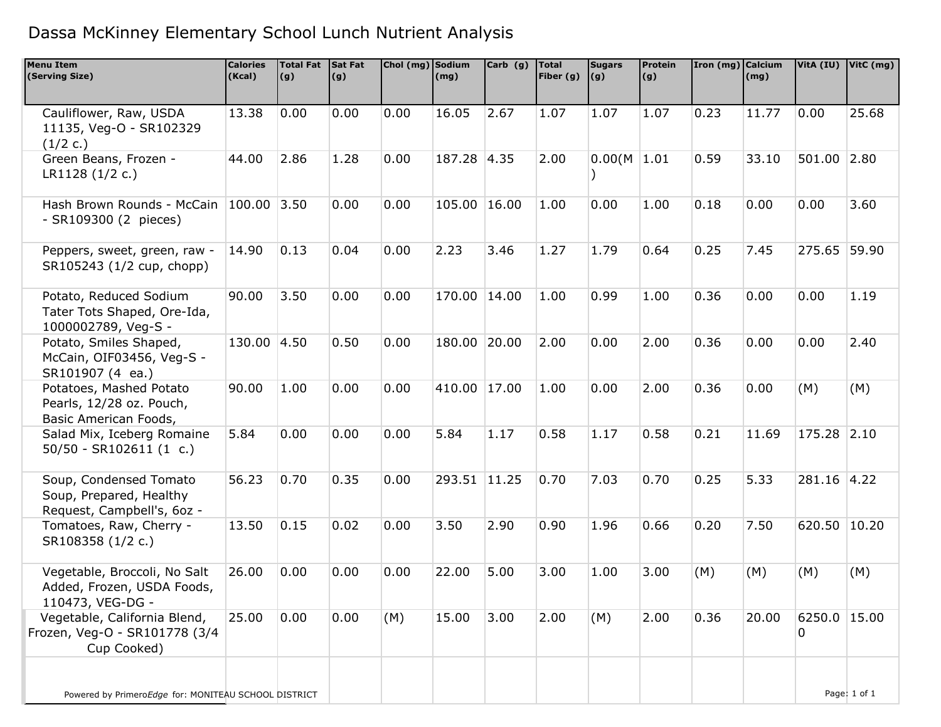| <b>Menu Item</b><br>(Serving Size)                                              | <b>Calories</b><br>(Kcal) | Total Fat Sat Fat<br>(g) | (g)  | Chol (mg) Sodium | (mg)         | Carb (g) | <b>Total</b><br>Fiber (g) $(9)$ | <b>Sugars</b> | <b>Protein</b><br>(g) | Iron (mg) Calcium | (mg)  |                   | VitA (IU) VitC (mg) |
|---------------------------------------------------------------------------------|---------------------------|--------------------------|------|------------------|--------------|----------|---------------------------------|---------------|-----------------------|-------------------|-------|-------------------|---------------------|
| Cauliflower, Raw, USDA<br>11135, Veg-O - SR102329<br>(1/2 c.)                   | 13.38                     | 0.00                     | 0.00 | 0.00             | 16.05        | 2.67     | 1.07                            | 1.07          | 1.07                  | 0.23              | 11.77 | 0.00              | 25.68               |
| Green Beans, Frozen -<br>LR1128 (1/2 c.)                                        | 44.00                     | 2.86                     | 1.28 | 0.00             | 187.28 4.35  |          | 2.00                            | 0.00(M   1.01 |                       | 0.59              | 33.10 | 501.00            | 2.80                |
| Hash Brown Rounds - McCain<br>- SR109300 (2 pieces)                             | 100.00                    | 3.50                     | 0.00 | 0.00             | 105.00       | 16.00    | 1.00                            | 0.00          | 1.00                  | 0.18              | 0.00  | 0.00              | 3.60                |
| Peppers, sweet, green, raw -<br>SR105243 (1/2 cup, chopp)                       | 14.90                     | 0.13                     | 0.04 | 0.00             | 2.23         | 3.46     | 1.27                            | 1.79          | 0.64                  | 0.25              | 7.45  | 275.65 59.90      |                     |
| Potato, Reduced Sodium<br>Tater Tots Shaped, Ore-Ida,<br>1000002789, Veg-S -    | 90.00                     | 3.50                     | 0.00 | 0.00             | 170.00 14.00 |          | 1.00                            | 0.99          | 1.00                  | 0.36              | 0.00  | 0.00              | 1.19                |
| Potato, Smiles Shaped,<br>McCain, OIF03456, Veg-S -<br>SR101907 (4 ea.)         | 130.00 4.50               |                          | 0.50 | 0.00             | 180.00 20.00 |          | 2.00                            | 0.00          | 2.00                  | 0.36              | 0.00  | 0.00              | 2.40                |
| Potatoes, Mashed Potato<br>Pearls, 12/28 oz. Pouch,<br>Basic American Foods,    | 90.00                     | 1.00                     | 0.00 | 0.00             | 410.00 17.00 |          | 1.00                            | 0.00          | 2.00                  | 0.36              | 0.00  | (M)               | (M)                 |
| Salad Mix, Iceberg Romaine<br>$50/50 - SR102611 (1 c.)$                         | 5.84                      | 0.00                     | 0.00 | 0.00             | 5.84         | 1.17     | 0.58                            | 1.17          | 0.58                  | 0.21              | 11.69 | 175.28            | 2.10                |
| Soup, Condensed Tomato<br>Soup, Prepared, Healthy<br>Request, Campbell's, 6oz - | 56.23                     | 0.70                     | 0.35 | 0.00             | 293.51 11.25 |          | 0.70                            | 7.03          | 0.70                  | 0.25              | 5.33  | 281.16 4.22       |                     |
| Tomatoes, Raw, Cherry -<br>SR108358 (1/2 c.)                                    | 13.50                     | 0.15                     | 0.02 | 0.00             | 3.50         | 2.90     | 0.90                            | 1.96          | 0.66                  | 0.20              | 7.50  | 620.50 10.20      |                     |
| Vegetable, Broccoli, No Salt<br>Added, Frozen, USDA Foods,<br>110473, VEG-DG -  | 26.00                     | 0.00                     | 0.00 | 0.00             | 22.00        | 5.00     | 3.00                            | 1.00          | 3.00                  | (M)               | (M)   | (M)               | (M)                 |
| Vegetable, California Blend,<br>Frozen, Veg-O - SR101778 (3/4<br>Cup Cooked)    | 25.00                     | 0.00                     | 0.00 | (M)              | 15.00        | 3.00     | 2.00                            | (M)           | 2.00                  | 0.36              | 20.00 | 6250.0 15.00<br>0 |                     |
| Powered by PrimeroEdge for: MONITEAU SCHOOL DISTRICT                            |                           |                          |      |                  |              |          |                                 |               |                       |                   |       |                   | Page: 1 of 1        |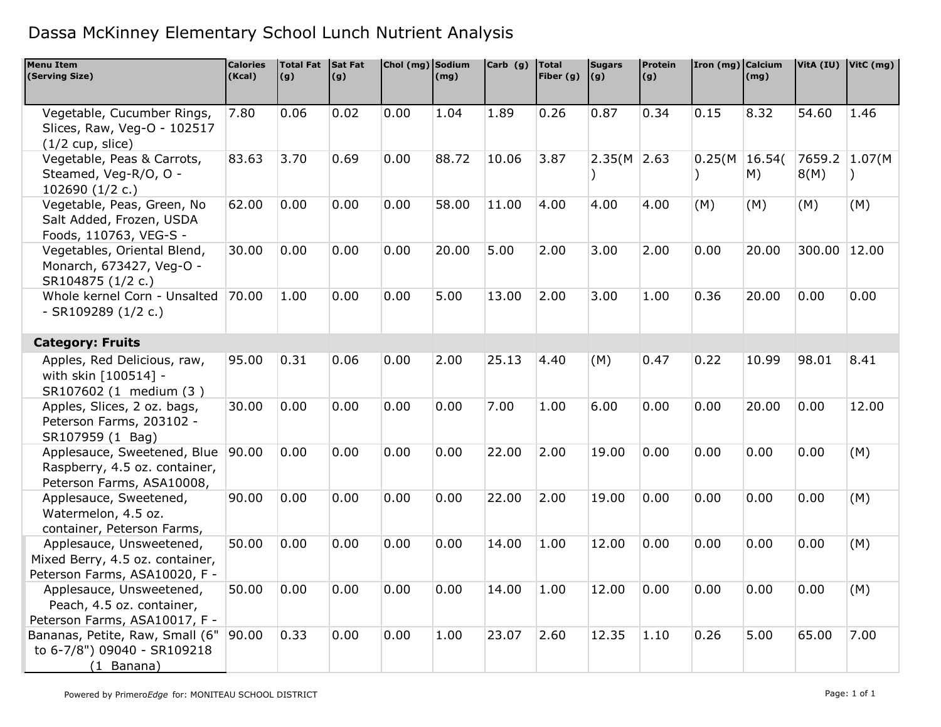| <b>Menu Item</b><br>(Serving Size)                                                           | <b>Calories</b><br>(Kcal) | <b>Total Fat</b><br>(g) | Sat Fat<br>(g) | Chol (mg) Sodium | (mg)  | Carb (g) | <b>Total</b><br>Fiber $(g)$ | <b>Sugars</b><br>(g) | Protein<br>(g) | Iron (mg) Calcium | (mg)         |              | VitA (IU) VitC (mg) |
|----------------------------------------------------------------------------------------------|---------------------------|-------------------------|----------------|------------------|-------|----------|-----------------------------|----------------------|----------------|-------------------|--------------|--------------|---------------------|
|                                                                                              |                           |                         |                |                  |       |          |                             |                      |                |                   |              |              |                     |
| Vegetable, Cucumber Rings,<br>Slices, Raw, Veg-O - 102517<br>$(1/2$ cup, slice)              | 7.80                      | 0.06                    | 0.02           | 0.00             | 1.04  | 1.89     | 0.26                        | 0.87                 | 0.34           | 0.15              | 8.32         | 54.60        | 1.46                |
| Vegetable, Peas & Carrots,<br>Steamed, Veg-R/O, O -<br>102690 (1/2 c.)                       | 83.63                     | 3.70                    | 0.69           | 0.00             | 88.72 | 10.06    | 3.87                        | $2.35(M)$ 2.63       |                | 0.25(M)           | 16.54(<br>M) | 8(M)         | 7659.2 1.07(M       |
| Vegetable, Peas, Green, No<br>Salt Added, Frozen, USDA<br>Foods, 110763, VEG-S -             | 62.00                     | 0.00                    | 0.00           | 0.00             | 58.00 | 11.00    | 4.00                        | 4.00                 | 4.00           | (M)               | (M)          | (M)          | (M)                 |
| Vegetables, Oriental Blend,<br>Monarch, 673427, Veg-O -<br>SR104875 (1/2 c.)                 | 30.00                     | 0.00                    | 0.00           | 0.00             | 20.00 | 5.00     | 2.00                        | 3.00                 | 2.00           | 0.00              | 20.00        | 300.00 12.00 |                     |
| Whole kernel Corn - Unsalted<br>$-SR109289(1/2 c.)$                                          | 70.00                     | 1.00                    | 0.00           | 0.00             | 5.00  | 13.00    | 2.00                        | 3.00                 | 1.00           | 0.36              | 20.00        | 0.00         | 0.00                |
| <b>Category: Fruits</b>                                                                      |                           |                         |                |                  |       |          |                             |                      |                |                   |              |              |                     |
| Apples, Red Delicious, raw,<br>with skin [100514] -<br>SR107602 (1 medium (3)                | 95.00                     | 0.31                    | 0.06           | 0.00             | 2.00  | 25.13    | 4.40                        | (M)                  | 0.47           | 0.22              | 10.99        | 98.01        | 8.41                |
| Apples, Slices, 2 oz. bags,<br>Peterson Farms, 203102 -<br>SR107959 (1 Bag)                  | 30.00                     | 0.00                    | 0.00           | 0.00             | 0.00  | 7.00     | 1.00                        | 6.00                 | 0.00           | 0.00              | 20.00        | 0.00         | 12.00               |
| Applesauce, Sweetened, Blue<br>Raspberry, 4.5 oz. container,<br>Peterson Farms, ASA10008,    | 90.00                     | 0.00                    | 0.00           | 0.00             | 0.00  | 22.00    | 2.00                        | 19.00                | 0.00           | 0.00              | 0.00         | 0.00         | (M)                 |
| Applesauce, Sweetened,<br>Watermelon, 4.5 oz.<br>container, Peterson Farms,                  | 90.00                     | 0.00                    | 0.00           | 0.00             | 0.00  | 22.00    | 2.00                        | 19.00                | 0.00           | 0.00              | 0.00         | 0.00         | (M)                 |
| Applesauce, Unsweetened,<br>Mixed Berry, 4.5 oz. container,<br>Peterson Farms, ASA10020, F - | 50.00                     | 0.00                    | 0.00           | 0.00             | 0.00  | 14.00    | 1.00                        | 12.00                | 0.00           | 0.00              | 0.00         | 0.00         | (M)                 |
| Applesauce, Unsweetened,<br>Peach, 4.5 oz. container,<br>Peterson Farms, ASA10017, F -       | 50.00                     | 0.00                    | 0.00           | 0.00             | 0.00  | 14.00    | 1.00                        | 12.00                | 0.00           | 0.00              | 0.00         | 0.00         | (M)                 |
| Bananas, Petite, Raw, Small (6"<br>to 6-7/8") 09040 - SR109218<br>(1 Banana)                 | 90.00                     | 0.33                    | 0.00           | 0.00             | 1.00  | 23.07    | 2.60                        | 12.35                | 1.10           | 0.26              | 5.00         | 65.00        | 7.00                |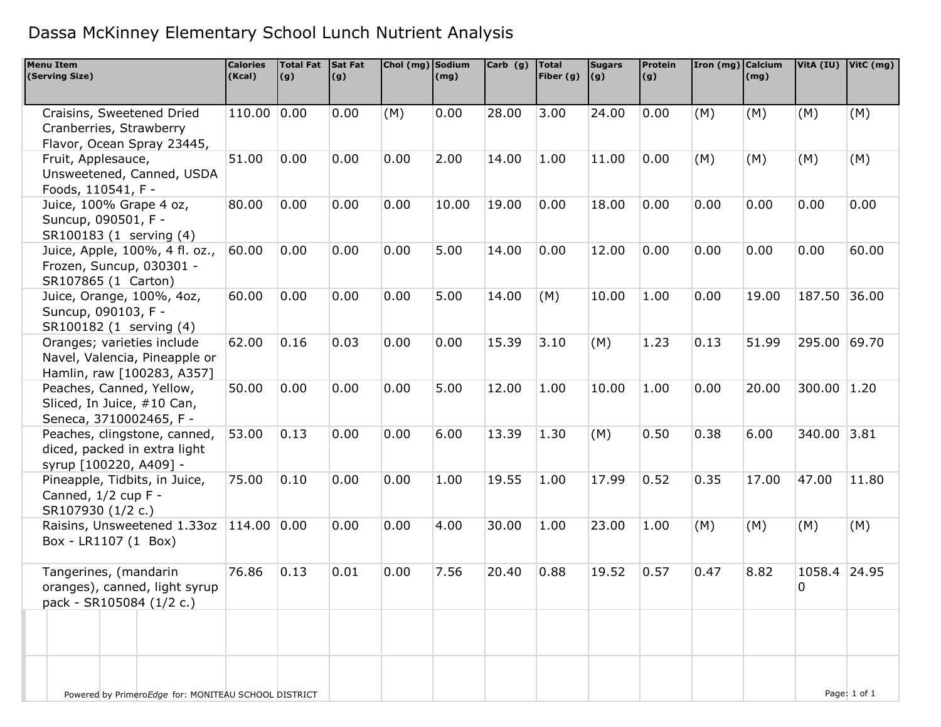| <b>Menu Item</b><br>(Serving Size)                                                        | <b>Calories</b><br>(Kcal) | <b>Total Fat</b><br>(g) | Sat Fat<br>(g) | Chol (mg) Sodium | (mg)  | Carb (g) | Total<br>Fiber $(g)$ $(g)$ | <b>Sugars</b> | <b>Protein</b><br>(g) | Iron (mg) $ $ Calcium | (mg)  | VitA (IU) VitC (mg) |              |
|-------------------------------------------------------------------------------------------|---------------------------|-------------------------|----------------|------------------|-------|----------|----------------------------|---------------|-----------------------|-----------------------|-------|---------------------|--------------|
|                                                                                           |                           |                         |                |                  |       |          |                            |               |                       |                       |       |                     |              |
| Craisins, Sweetened Dried<br>Cranberries, Strawberry<br>Flavor, Ocean Spray 23445,        | 110.00 0.00               |                         | 0.00           | (M)              | 0.00  | 28.00    | 3.00                       | 24.00         | 0.00                  | (M)                   | (M)   | (M)                 | (M)          |
| Fruit, Applesauce,<br>Unsweetened, Canned, USDA<br>Foods, 110541, F -                     | 51.00                     | 0.00                    | 0.00           | 0.00             | 2.00  | 14.00    | 1.00                       | 11.00         | 0.00                  | (M)                   | (M)   | (M)                 | (M)          |
| Juice, 100% Grape 4 oz,<br>Suncup, 090501, F -<br>SR100183 (1 serving (4)                 | 80.00                     | 0.00                    | 0.00           | 0.00             | 10.00 | 19.00    | 0.00                       | 18.00         | 0.00                  | 0.00                  | 0.00  | 0.00                | 0.00         |
| Juice, Apple, 100%, 4 fl. oz.,<br>Frozen, Suncup, 030301 -<br>SR107865 (1 Carton)         | 60.00                     | 0.00                    | 0.00           | 0.00             | 5.00  | 14.00    | 0.00                       | 12.00         | 0.00                  | 0.00                  | 0.00  | 0.00                | 60.00        |
| Juice, Orange, 100%, 4oz,<br>Suncup, 090103, F -<br>SR100182 (1 serving (4)               | 60.00                     | 0.00                    | 0.00           | 0.00             | 5.00  | 14.00    | (M)                        | 10.00         | 1.00                  | 0.00                  | 19.00 | 187.50              | 36.00        |
| Oranges; varieties include<br>Navel, Valencia, Pineapple or<br>Hamlin, raw [100283, A357] | 62.00                     | 0.16                    | 0.03           | 0.00             | 0.00  | 15.39    | 3.10                       | (M)           | 1.23                  | 0.13                  | 51.99 | 295.00              | 69.70        |
| Peaches, Canned, Yellow,<br>Sliced, In Juice, #10 Can,<br>Seneca, 3710002465, F -         | 50.00                     | 0.00                    | 0.00           | 0.00             | 5.00  | 12.00    | 1.00                       | 10.00         | 1.00                  | 0.00                  | 20.00 | 300.00              | 1.20         |
| Peaches, clingstone, canned,<br>diced, packed in extra light<br>syrup [100220, A409] -    | 53.00                     | 0.13                    | 0.00           | 0.00             | 6.00  | 13.39    | 1.30                       | (M)           | 0.50                  | 0.38                  | 6.00  | 340.00 3.81         |              |
| Pineapple, Tidbits, in Juice,<br>Canned, 1/2 cup F -<br>SR107930 (1/2 c.)                 | 75.00                     | 0.10                    | 0.00           | 0.00             | 1.00  | 19.55    | 1.00                       | 17.99         | 0.52                  | 0.35                  | 17.00 | 47.00               | 11.80        |
| Raisins, Unsweetened 1.33oz   114.00<br>Box - LR1107 (1 Box)                              |                           | 0.00                    | 0.00           | 0.00             | 4.00  | 30.00    | 1.00                       | 23.00         | 1.00                  | (M)                   | (M)   | (M)                 | (M)          |
| Tangerines, (mandarin<br>oranges), canned, light syrup<br>pack - SR105084 (1/2 c.)        | 76.86                     | 0.13                    | 0.01           | 0.00             | 7.56  | 20.40    | 0.88                       | 19.52         | 0.57                  | 0.47                  | 8.82  | 1058.4<br>$\Omega$  | 24.95        |
|                                                                                           |                           |                         |                |                  |       |          |                            |               |                       |                       |       |                     |              |
| Powered by PrimeroEdge for: MONITEAU SCHOOL DISTRICT                                      |                           |                         |                |                  |       |          |                            |               |                       |                       |       |                     | Page: 1 of 1 |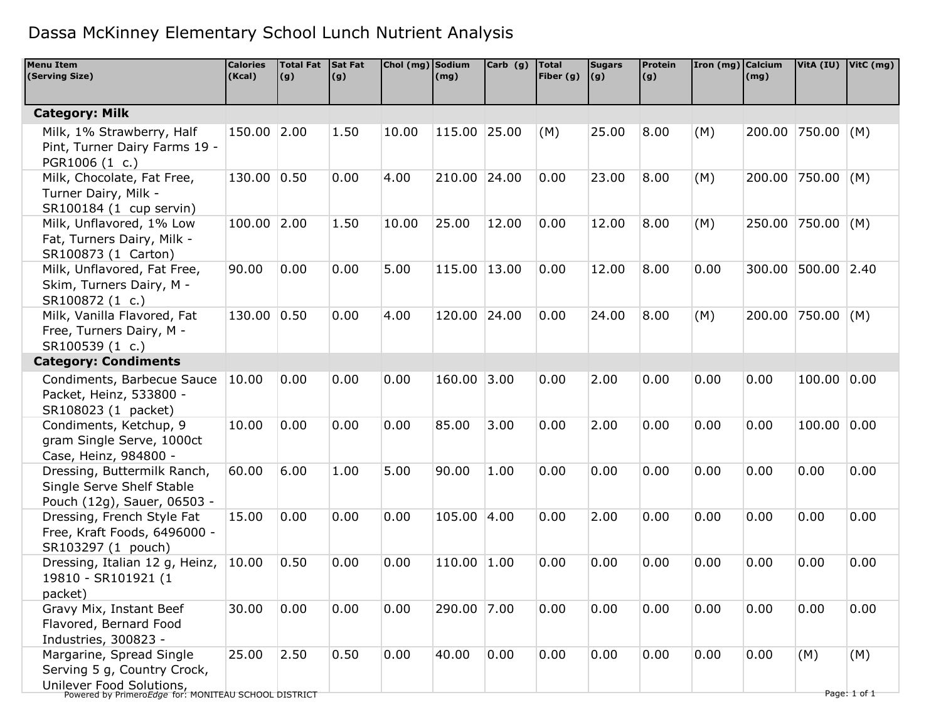| <b>Menu Item</b><br>(Serving Size)                                               | <b>Calories</b><br>(Kcal) | <b>Total Fat</b><br>(g) | Sat Fat<br>(g) | Chol (mg) Sodium | (mg)         | $Carb$ (g) | Total<br>Fiber $(g)$ | <b>Sugars</b><br> (g) | <b>Protein</b><br>(g) | Iron (mg) Calcium | (mg)   |                   | VitA (IU) VitC (mg) |
|----------------------------------------------------------------------------------|---------------------------|-------------------------|----------------|------------------|--------------|------------|----------------------|-----------------------|-----------------------|-------------------|--------|-------------------|---------------------|
|                                                                                  |                           |                         |                |                  |              |            |                      |                       |                       |                   |        |                   |                     |
| <b>Category: Milk</b>                                                            |                           |                         |                |                  |              |            |                      |                       |                       |                   |        |                   |                     |
| Milk, 1% Strawberry, Half                                                        | 150.00 2.00               |                         | 1.50           | 10.00            | 115.00       | 25.00      | (M)                  | 25.00                 | 8.00                  | (M)               | 200.00 | $ 750.00 $ (M)    |                     |
| Pint, Turner Dairy Farms 19 -                                                    |                           |                         |                |                  |              |            |                      |                       |                       |                   |        |                   |                     |
| PGR1006 (1 c.)                                                                   |                           |                         |                |                  |              |            |                      |                       |                       |                   |        |                   |                     |
| Milk, Chocolate, Fat Free,                                                       | 130.00 0.50               |                         | 0.00           | 4.00             | 210.00 24.00 |            | 0.00                 | 23.00                 | 8.00                  | (M)               |        | 200.00 750.00 (M) |                     |
| Turner Dairy, Milk -                                                             |                           |                         |                |                  |              |            |                      |                       |                       |                   |        |                   |                     |
| SR100184 (1 cup servin)                                                          |                           |                         |                |                  |              |            |                      |                       |                       |                   |        |                   |                     |
| Milk, Unflavored, 1% Low                                                         | 100.00 2.00               |                         | 1.50           | 10.00            | 25.00        | 12.00      | 0.00                 | 12.00                 | 8.00                  | (M)               | 250.00 | $ 750.00 $ (M)    |                     |
| Fat, Turners Dairy, Milk -                                                       |                           |                         |                |                  |              |            |                      |                       |                       |                   |        |                   |                     |
| SR100873 (1 Carton)<br>Milk, Unflavored, Fat Free,                               | 90.00                     | 0.00                    | 0.00           | 5.00             | 115.00 13.00 |            | 0.00                 | 12.00                 | 8.00                  | 0.00              | 300.00 | 500.00 2.40       |                     |
| Skim, Turners Dairy, M -                                                         |                           |                         |                |                  |              |            |                      |                       |                       |                   |        |                   |                     |
| SR100872 (1 c.)                                                                  |                           |                         |                |                  |              |            |                      |                       |                       |                   |        |                   |                     |
| Milk, Vanilla Flavored, Fat                                                      | 130.00 0.50               |                         | 0.00           | 4.00             | 120.00       | 24.00      | 0.00                 | 24.00                 | 8.00                  | (M)               | 200.00 | $750.00$ (M)      |                     |
| Free, Turners Dairy, M -                                                         |                           |                         |                |                  |              |            |                      |                       |                       |                   |        |                   |                     |
| SR100539 (1 c.)                                                                  |                           |                         |                |                  |              |            |                      |                       |                       |                   |        |                   |                     |
| <b>Category: Condiments</b>                                                      |                           |                         |                |                  |              |            |                      |                       |                       |                   |        |                   |                     |
| Condiments, Barbecue Sauce                                                       | 10.00                     | 0.00                    | 0.00           | 0.00             | 160.00       | 3.00       | 0.00                 | 2.00                  | 0.00                  | 0.00              | 0.00   | 100.00 0.00       |                     |
| Packet, Heinz, 533800 -                                                          |                           |                         |                |                  |              |            |                      |                       |                       |                   |        |                   |                     |
| SR108023 (1 packet)                                                              |                           |                         |                |                  |              |            |                      |                       |                       |                   |        |                   |                     |
| Condiments, Ketchup, 9                                                           | 10.00                     | 0.00                    | 0.00           | 0.00             | 85.00        | 3.00       | 0.00                 | 2.00                  | 0.00                  | 0.00              | 0.00   | 100.00 0.00       |                     |
| gram Single Serve, 1000ct                                                        |                           |                         |                |                  |              |            |                      |                       |                       |                   |        |                   |                     |
| Case, Heinz, 984800 -                                                            |                           | 6.00                    |                |                  | 90.00        | 1.00       | 0.00                 | 0.00                  |                       |                   | 0.00   | 0.00              | 0.00                |
| Dressing, Buttermilk Ranch,<br>Single Serve Shelf Stable                         | 60.00                     |                         | 1.00           | 5.00             |              |            |                      |                       | 0.00                  | 0.00              |        |                   |                     |
| Pouch (12g), Sauer, 06503 -                                                      |                           |                         |                |                  |              |            |                      |                       |                       |                   |        |                   |                     |
| Dressing, French Style Fat                                                       | 15.00                     | 0.00                    | 0.00           | 0.00             | 105.00       | 4.00       | 0.00                 | 2.00                  | 0.00                  | 0.00              | 0.00   | 0.00              | 0.00                |
| Free, Kraft Foods, 6496000 -                                                     |                           |                         |                |                  |              |            |                      |                       |                       |                   |        |                   |                     |
| SR103297 (1 pouch)                                                               |                           |                         |                |                  |              |            |                      |                       |                       |                   |        |                   |                     |
| Dressing, Italian 12 g, Heinz,                                                   | 10.00                     | 0.50                    | 0.00           | 0.00             | 110.00 1.00  |            | 0.00                 | 0.00                  | 0.00                  | 0.00              | 0.00   | 0.00              | 0.00                |
| 19810 - SR101921 (1                                                              |                           |                         |                |                  |              |            |                      |                       |                       |                   |        |                   |                     |
| packet)                                                                          |                           |                         |                |                  |              |            |                      |                       |                       |                   |        |                   |                     |
| Gravy Mix, Instant Beef                                                          | 30.00                     | 0.00                    | 0.00           | 0.00             | 290.00 7.00  |            | 0.00                 | 0.00                  | 0.00                  | 0.00              | 0.00   | 0.00              | 0.00                |
| Flavored, Bernard Food                                                           |                           |                         |                |                  |              |            |                      |                       |                       |                   |        |                   |                     |
| Industries, 300823 -                                                             |                           |                         |                |                  |              |            |                      |                       |                       |                   |        |                   |                     |
| Margarine, Spread Single                                                         | 25.00                     | 2.50                    | 0.50           | 0.00             | 40.00        | 0.00       | 0.00                 | 0.00                  | 0.00                  | 0.00              | 0.00   | (M)               | (M)                 |
| Serving 5 g, Country Crock,                                                      |                           |                         |                |                  |              |            |                      |                       |                       |                   |        |                   |                     |
| Unilever Food Solutions,<br>Powered by PrimeroEdge for: MONITEAU SCHOOL DISTRICT |                           |                         |                |                  |              |            |                      |                       |                       |                   |        |                   | Page: 1 of 1        |